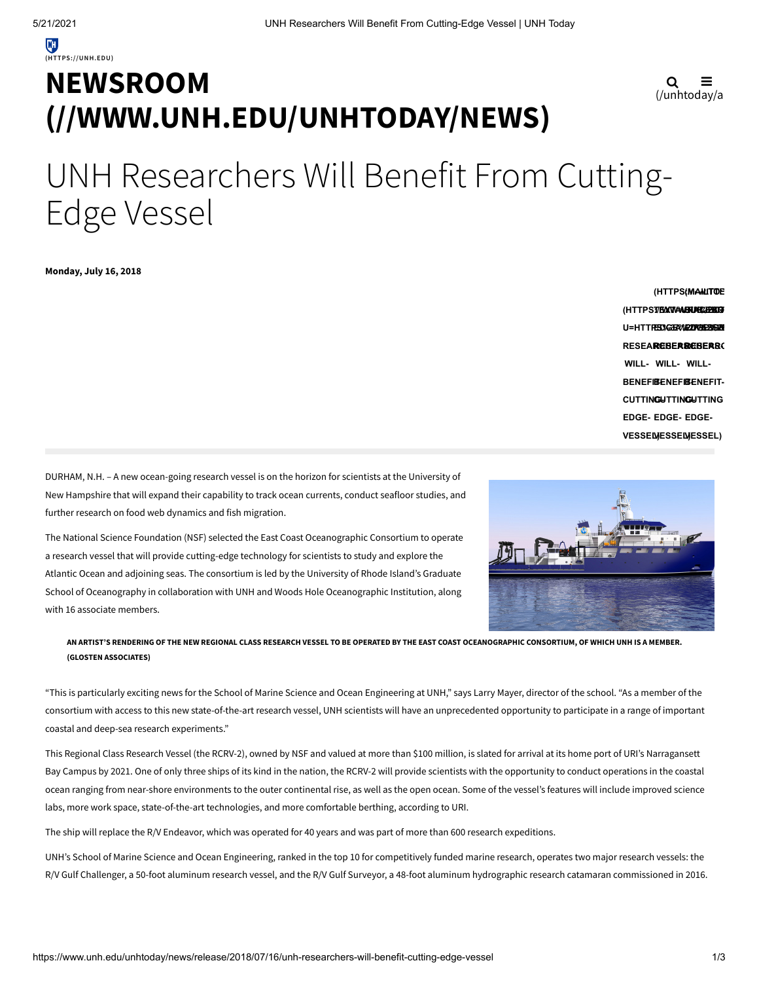# **NEWSROOM [\(//WWW.UNH.EDU/UNHTODAY/NEWS\)](https://www.unh.edu/unhtoday/news)**

$$
\mathbf{Q} \equiv_{\text{(unhtoday/a)}}
$$

# UNH Researchers Will Benefit From Cutting-Edge Vessel

**Monday, July 16, 2018**

**(HTTPSTEXTAMENER/PEGB U=HTTPS17BM3T4AGRUBE4BBG6<br>U=HTT<del>RES%GE%20IVE628</del>6BM RESEARCHERS-RESEARCHERS-RESEARC WILL-WILL-WILL-BENEFIT-BENEFIT-BENEFIT-CUTTING-CUTTING-CUTTING EDGE-EDGE-EDGE-VESSEL) VESSEL) VESSEL) (HTTPS://TWITTE (MAILTO:?**

DURHAM, N.H. – A new ocean-going research vessel is on the horizon for scientists at the University of New Hampshire that will expand their capability to track ocean currents, conduct seafloor studies, and further research on food web dynamics and fish migration.

The National Science Foundation (NSF) selected the East Coast Oceanographic Consortium to operate a research vessel that will provide cutting-edge technology for scientists to study and explore the Atlantic Ocean and adjoining seas. The consortium is led by the University of Rhode Island's Graduate School of Oceanography in collaboration with UNH and Woods Hole Oceanographic Institution, along with 16 associate members.



## AN ARTIST'S RENDERING OF THE NEW REGIONAL CLASS RESEARCH VESSEL TO BE OPERATED BY THE EAST COAST OCEANOGRAPHIC CONSORTIUM, OF WHICH UNH IS A MEMBER. **(GLOSTEN ASSOCIATES)**

"This is particularly exciting news for the School of Marine Science and Ocean Engineering at UNH," says Larry Mayer, director of the school. "As a member of the consortium with access to this new state-of-the-art research vessel, UNH scientists will have an unprecedented opportunity to participate in a range of important coastal and deep-sea research experiments."

This Regional Class Research Vessel (the RCRV-2), owned by NSF and valued at more than \$100 million, is slated for arrival at its home port of URI's Narragansett Bay Campus by 2021. One of only three ships of its kind in the nation, the RCRV-2 will provide scientists with the opportunity to conduct operations in the coastal ocean ranging from near-shore environments to the outer continental rise, as well as the open ocean. Some of the vessel's features will include improved science labs, more work space, state-of-the-art technologies, and more comfortable berthing, according to URI.

The ship will replace the R/V Endeavor, which was operated for 40 years and was part of more than 600 research expeditions.

UNH's School of Marine Science and Ocean Engineering, ranked in the top 10 for competitively funded marine research, operates two major research vessels: the R/V Gulf Challenger, a 50-foot aluminum research vessel, and the R/V Gulf Surveyor, a 48-foot aluminum hydrographic research catamaran commissioned in 2016.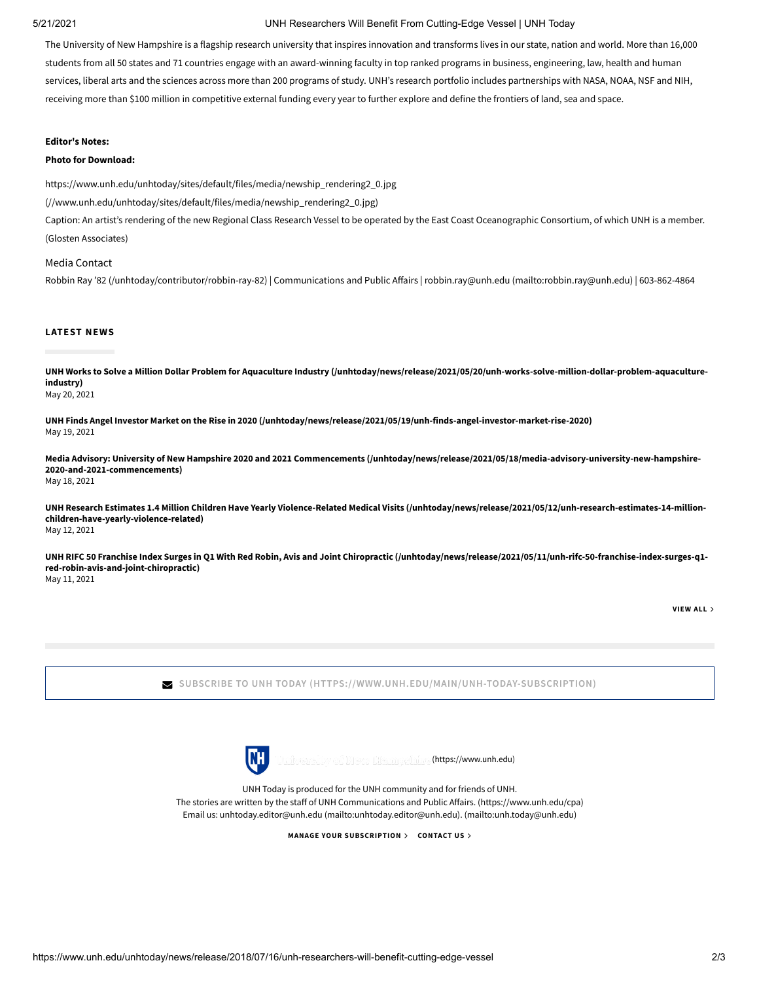### 5/21/2021 UNH Researchers Will Benefit From Cutting-Edge Vessel | UNH Today

The University of New Hampshire is a flagship research university that inspires innovation and transforms lives in our state, nation and world. More than 16,000 students from all 50 states and 71 countries engage with an award-winning faculty in top ranked programs in business, engineering, law, health and human services, liberal arts and the sciences across more than 200 programs of study. UNH's research portfolio includes partnerships with NASA, NOAA, NSF and NIH, receiving more than \$100 million in competitive external funding every year to further explore and define the frontiers of land, sea and space.

## **Editor's Notes:**

#### **Photo for Download:**

[https://www.unh.edu/unhtoday/sites/default/files/media/newship\\_rendering2\\_0.jpg](https://www.unh.edu/unhtoday/sites/default/files/media/newship_rendering2_0.jpg)

(//www.unh.edu/unhtoday/sites/default/files/media/newship\_rendering2\_0.jpg)

Caption: An artist's rendering of the new Regional Class Research Vessel to be operated by the East Coast Oceanographic Consortium, of which UNH is a member. (Glosten Associates)

Media Contact Robbin Ray '82 [\(/unhtoday/contributor/robbin-ray-82\)](https://www.unh.edu/unhtoday/contributor/robbin-ray-82) | Communications and Public Affairs | robbin.ray@unh.edu [\(mailto:robbin.ray@unh.edu\)](mailto:robbin.ray@unh.edu) | 603-862-4864

### **LATEST NEWS**

**[UNH Works to Solve a Million Dollar Problem for Aquaculture Industry \(/unhtoday/news/release/2021/05/20/unh-works-solve-million-dollar-problem-aquaculture](https://www.unh.edu/unhtoday/news/release/2021/05/20/unh-works-solve-million-dollar-problem-aquaculture-industry)industry)**

May 20, 2021

**[UNH Finds Angel Investor Market on the Rise in 2020 \(/unhtoday/news/release/2021/05/19/unh-finds-angel-investor-market-rise-2020\)](https://www.unh.edu/unhtoday/news/release/2021/05/19/unh-finds-angel-investor-market-rise-2020)** May 19, 2021

**[Media Advisory: University of New Hampshire 2020 and 2021 Commencements \(/unhtoday/news/release/2021/05/18/media-advisory-university-new-hampshire-](https://www.unh.edu/unhtoday/news/release/2021/05/18/media-advisory-university-new-hampshire-2020-and-2021-commencements)2020-and-2021-commencements)** May 18, 2021

**[UNH Research Estimates 1.4 Million Children Have Yearly Violence-Related Medical Visits \(/unhtoday/news/release/2021/05/12/unh-research-estimates-14-million](https://www.unh.edu/unhtoday/news/release/2021/05/12/unh-research-estimates-14-million-children-have-yearly-violence-related)children-have-yearly-violence-related)** May 12, 2021

**[UNH RIFC 50 Franchise Index Surges in Q1 With Red Robin, Avis and Joint Chiropractic \(/unhtoday/news/release/2021/05/11/unh-rifc-50-franchise-index-surges-q1](https://www.unh.edu/unhtoday/news/release/2021/05/11/unh-rifc-50-franchise-index-surges-q1-red-robin-avis-and-joint-chiropractic) red-robin-avis-and-joint-chiropractic)** May 11, 2021

**[VIEW](https://www.unh.edu/unhtoday/news) ALL**

**SUBSCRIBE TO UNH TODAY [\(HTTPS://WWW.UNH.EDU/MAIN/UNH-TODAY-SUBSCRIPTION\)](https://www.unh.edu/main/unh-today-subscription)**



[\(https://www.unh.edu\)](https://www.unh.edu/)

UNH Today is produced for the UNH community and for friends of UNH. The stories are written by the staff of UNH Communications and Public Affairs. (https://www.unh.edu/cpa) Email us: [unhtoday.editor@unh.edu \(mailto:unhtoday.editor@unh.edu\)](mailto:unhtoday.editor@unh.edu)[. \(mailto:unh.today@unh.edu\)](mailto:unh.today@unh.edu)

**MANAGE YOUR [SUBSCRIPTION](https://www.unh.edu/unhtoday/welcome) [CONTACT](mailto:unh.today@unh.edu) US**